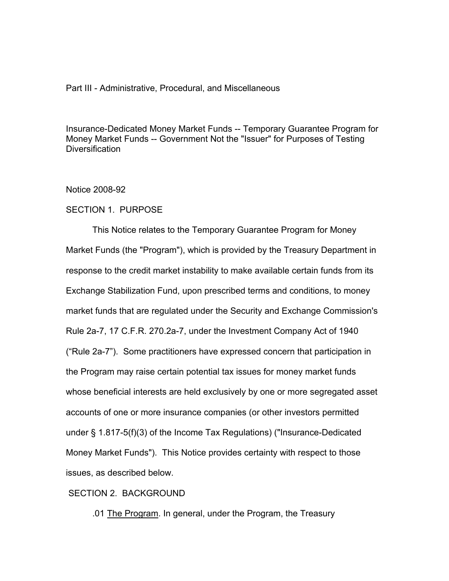## Part III - Administrative, Procedural, and Miscellaneous

Insurance-Dedicated Money Market Funds -- Temporary Guarantee Program for Money Market Funds -- Government Not the "Issuer" for Purposes of Testing **Diversification** 

#### Notice 2008-92

## SECTION 1. PURPOSE

 This Notice relates to the Temporary Guarantee Program for Money Market Funds (the "Program"), which is provided by the Treasury Department in response to the credit market instability to make available certain funds from its Exchange Stabilization Fund, upon prescribed terms and conditions, to money market funds that are regulated under the Security and Exchange Commission's Rule 2a-7, 17 C.F.R. 270.2a-7, under the Investment Company Act of 1940 ("Rule 2a-7"). Some practitioners have expressed concern that participation in the Program may raise certain potential tax issues for money market funds whose beneficial interests are held exclusively by one or more segregated asset accounts of one or more insurance companies (or other investors permitted under § 1.817-5(f)(3) of the Income Tax Regulations) ("Insurance-Dedicated Money Market Funds"). This Notice provides certainty with respect to those issues, as described below.

# SECTION 2. BACKGROUND

.01 The Program. In general, under the Program, the Treasury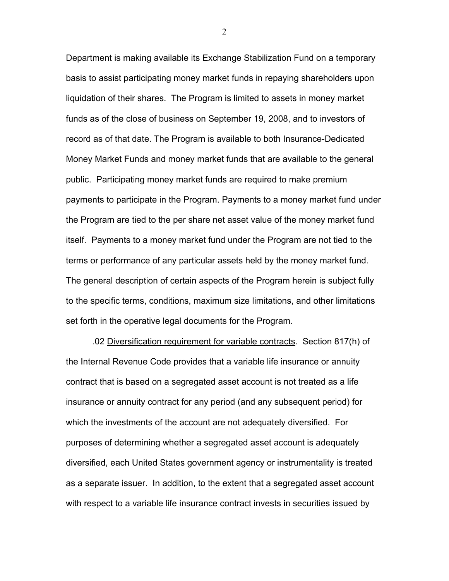Department is making available its Exchange Stabilization Fund on a temporary basis to assist participating money market funds in repaying shareholders upon liquidation of their shares. The Program is limited to assets in money market funds as of the close of business on September 19, 2008, and to investors of record as of that date. The Program is available to both Insurance-Dedicated Money Market Funds and money market funds that are available to the general public. Participating money market funds are required to make premium payments to participate in the Program. Payments to a money market fund under the Program are tied to the per share net asset value of the money market fund itself. Payments to a money market fund under the Program are not tied to the terms or performance of any particular assets held by the money market fund. The general description of certain aspects of the Program herein is subject fully to the specific terms, conditions, maximum size limitations, and other limitations set forth in the operative legal documents for the Program.

 .02 Diversification requirement for variable contracts. Section 817(h) of the Internal Revenue Code provides that a variable life insurance or annuity contract that is based on a segregated asset account is not treated as a life insurance or annuity contract for any period (and any subsequent period) for which the investments of the account are not adequately diversified. For purposes of determining whether a segregated asset account is adequately diversified, each United States government agency or instrumentality is treated as a separate issuer. In addition, to the extent that a segregated asset account with respect to a variable life insurance contract invests in securities issued by

2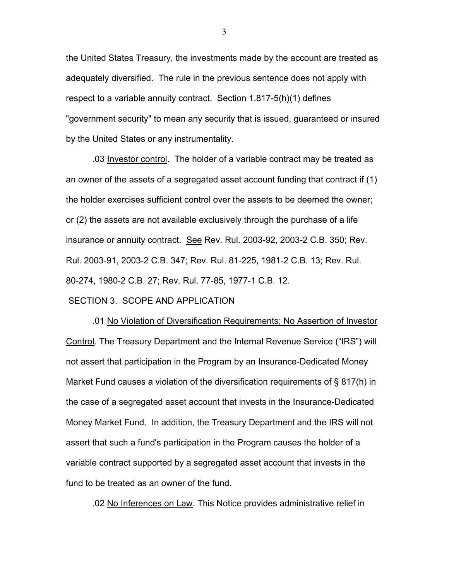the United States Treasury, the investments made by the account are treated as adequately diversified. The rule in the previous sentence does not apply with respect to a variable annuity contract. Section 1.817-5(h)(1) defines "government security" to mean any security that is issued, guaranteed or insured by the United States or any instrumentality.

 .03 Investor control. The holder of a variable contract may be treated as an owner of the assets of a segregated asset account funding that contract if (1) the holder exercises sufficient control over the assets to be deemed the owner; or (2) the assets are not available exclusively through the purchase of a life insurance or annuity contract. See Rev. Rul. 2003-92, 2003-2 C.B. 350; Rev. Rul. 2003-91, 2003-2 C.B. 347; Rev. Rul. 81-225, 1981-2 C.B. 13; Rev. Rul. 80-274, 1980-2 C.B. 27; Rev. Rul. 77-85, 1977-1 C.B. 12.

#### SECTION 3. SCOPE AND APPLICATION

 .01 No Violation of Diversification Requirements; No Assertion of Investor Control. The Treasury Department and the Internal Revenue Service ("IRS") will not assert that participation in the Program by an Insurance-Dedicated Money Market Fund causes a violation of the diversification requirements of § 817(h) in the case of a segregated asset account that invests in the Insurance-Dedicated Money Market Fund. In addition, the Treasury Department and the IRS will not assert that such a fund's participation in the Program causes the holder of a variable contract supported by a segregated asset account that invests in the fund to be treated as an owner of the fund.

.02 No Inferences on Law. This Notice provides administrative relief in

3